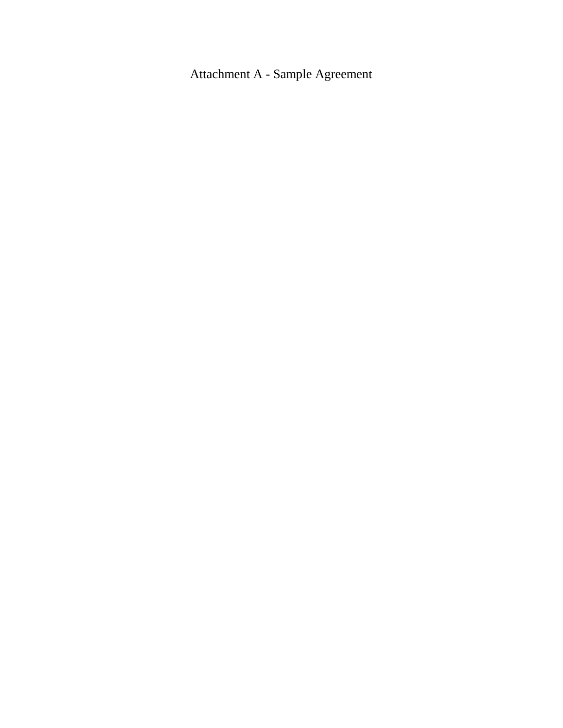Attachment A - Sample Agreement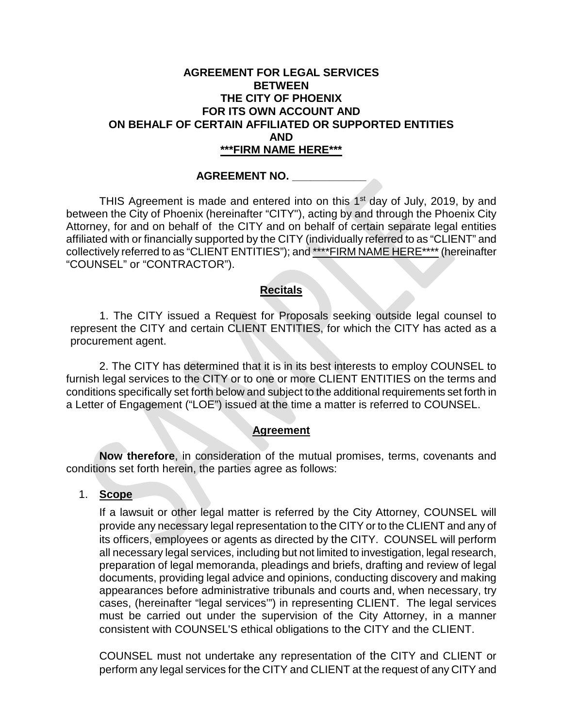### **AGREEMENT FOR LEGAL SERVICES BETWEEN THE CITY OF PHOENIX FOR ITS OWN ACCOUNT AND ON BEHALF OF CERTAIN AFFILIATED OR SUPPORTED ENTITIES AND \*\*\*FIRM NAME HERE\*\*\***

#### **AGREEMENT NO. \_\_\_\_\_\_\_\_\_\_\_\_**

THIS Agreement is made and entered into on this 1<sup>st</sup> day of July, 2019, by and between the City of Phoenix (hereinafter "CITY"), acting by and through the Phoenix City Attorney, for and on behalf of the CITY and on behalf of certain separate legal entities affiliated with or financially supported by the CITY (individually referred to as "CLIENT" and collectively referred to as "CLIENT ENTITIES"); and \*\*\*\*FIRM NAME HERE\*\*\*\* (hereinafter "COUNSEL" or "CONTRACTOR").

#### **Recitals**

1. The CITY issued a Request for Proposals seeking outside legal counsel to represent the CITY and certain CLIENT ENTITIES, for which the CITY has acted as a procurement agent.

2. The CITY has determined that it is in its best interests to employ COUNSEL to furnish legal services to the CITY or to one or more CLIENT ENTITIES on the terms and conditions specifically set forth below and subject to the additional requirements set forth in a Letter of Engagement ("LOE") issued at the time a matter is referred to COUNSEL.

#### **Agreement**

**Now therefore**, in consideration of the mutual promises, terms, covenants and conditions set forth herein, the parties agree as follows:

#### 1. **Scope**

If a lawsuit or other legal matter is referred by the City Attorney, COUNSEL will provide any necessary legal representation to the CITY or to the CLIENT and any of its officers, employees or agents as directed by the CITY. COUNSEL will perform all necessary legal services, including but not limited to investigation, legal research, preparation of legal memoranda, pleadings and briefs, drafting and review of legal documents, providing legal advice and opinions, conducting discovery and making appearances before administrative tribunals and courts and, when necessary, try cases, (hereinafter "legal services'") in representing CLIENT. The legal services must be carried out under the supervision of the City Attorney, in a manner consistent with COUNSEL'S ethical obligations to the CITY and the CLIENT.

COUNSEL must not undertake any representation of the CITY and CLIENT or perform any legal services for the CITY and CLIENT at the request of any CITY and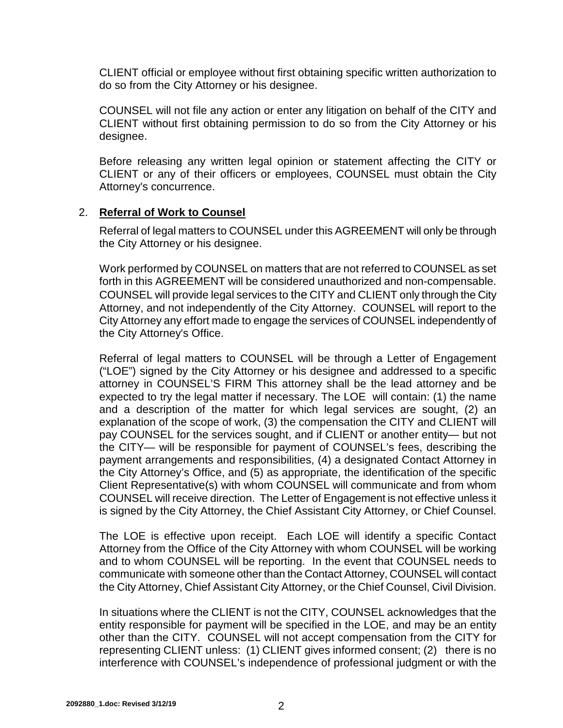CLIENT official or employee without first obtaining specific written authorization to do so from the City Attorney or his designee.

COUNSEL will not file any action or enter any litigation on behalf of the CITY and CLIENT without first obtaining permission to do so from the City Attorney or his designee.

Before releasing any written legal opinion or statement affecting the CITY or CLIENT or any of their officers or employees, COUNSEL must obtain the City Attorney's concurrence.

### 2. **Referral of Work to Counsel**

Referral of legal matters to COUNSEL under this AGREEMENT will only be through the City Attorney or his designee.

Work performed by COUNSEL on matters that are not referred to COUNSEL as set forth in this AGREEMENT will be considered unauthorized and non-compensable. COUNSEL will provide legal services to the CITY and CLIENT only through the City Attorney, and not independently of the City Attorney. COUNSEL will report to the City Attorney any effort made to engage the services of COUNSEL independently of the City Attorney's Office.

Referral of legal matters to COUNSEL will be through a Letter of Engagement ("LOE") signed by the City Attorney or his designee and addressed to a specific attorney in COUNSEL'S FIRM This attorney shall be the lead attorney and be expected to try the legal matter if necessary. The LOE will contain: (1) the name and a description of the matter for which legal services are sought, (2) an explanation of the scope of work, (3) the compensation the CITY and CLIENT will pay COUNSEL for the services sought, and if CLIENT or another entity— but not the CITY— will be responsible for payment of COUNSEL's fees, describing the payment arrangements and responsibilities, (4) a designated Contact Attorney in the City Attorney's Office, and (5) as appropriate, the identification of the specific Client Representative(s) with whom COUNSEL will communicate and from whom COUNSEL will receive direction. The Letter of Engagement is not effective unless it is signed by the City Attorney, the Chief Assistant City Attorney, or Chief Counsel.

The LOE is effective upon receipt. Each LOE will identify a specific Contact Attorney from the Office of the City Attorney with whom COUNSEL will be working and to whom COUNSEL will be reporting. In the event that COUNSEL needs to communicate with someone other than the Contact Attorney, COUNSEL will contact the City Attorney, Chief Assistant City Attorney, or the Chief Counsel, Civil Division.

In situations where the CLIENT is not the CITY, COUNSEL acknowledges that the entity responsible for payment will be specified in the LOE, and may be an entity other than the CITY. COUNSEL will not accept compensation from the CITY for representing CLIENT unless: (1) CLIENT gives informed consent; (2) there is no interference with COUNSEL's independence of professional judgment or with the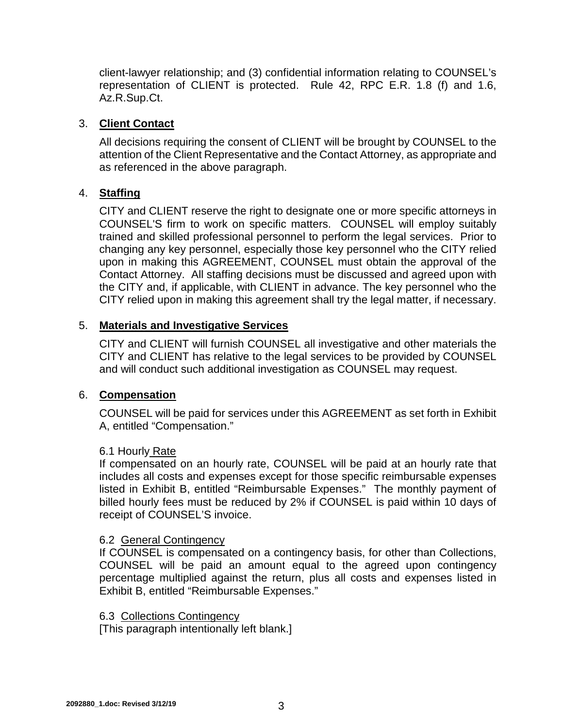client-lawyer relationship; and (3) confidential information relating to COUNSEL's representation of CLIENT is protected. Rule 42, RPC E.R. 1.8 (f) and 1.6, Az.R.Sup.Ct.

### 3. **Client Contact**

All decisions requiring the consent of CLIENT will be brought by COUNSEL to the attention of the Client Representative and the Contact Attorney, as appropriate and as referenced in the above paragraph.

## 4. **Staffing**

CITY and CLIENT reserve the right to designate one or more specific attorneys in COUNSEL'S firm to work on specific matters. COUNSEL will employ suitably trained and skilled professional personnel to perform the legal services. Prior to changing any key personnel, especially those key personnel who the CITY relied upon in making this AGREEMENT, COUNSEL must obtain the approval of the Contact Attorney. All staffing decisions must be discussed and agreed upon with the CITY and, if applicable, with CLIENT in advance. The key personnel who the CITY relied upon in making this agreement shall try the legal matter, if necessary.

## 5. **Materials and Investigative Services**

CITY and CLIENT will furnish COUNSEL all investigative and other materials the CITY and CLIENT has relative to the legal services to be provided by COUNSEL and will conduct such additional investigation as COUNSEL may request.

### 6. **Compensation**

COUNSEL will be paid for services under this AGREEMENT as set forth in Exhibit A, entitled "Compensation."

### 6.1 Hourly Rate

If compensated on an hourly rate, COUNSEL will be paid at an hourly rate that includes all costs and expenses except for those specific reimbursable expenses listed in Exhibit B, entitled "Reimbursable Expenses." The monthly payment of billed hourly fees must be reduced by 2% if COUNSEL is paid within 10 days of receipt of COUNSEL'S invoice.

### 6.2 General Contingency

If COUNSEL is compensated on a contingency basis, for other than Collections, COUNSEL will be paid an amount equal to the agreed upon contingency percentage multiplied against the return, plus all costs and expenses listed in Exhibit B, entitled "Reimbursable Expenses."

### 6.3 Collections Contingency

[This paragraph intentionally left blank.]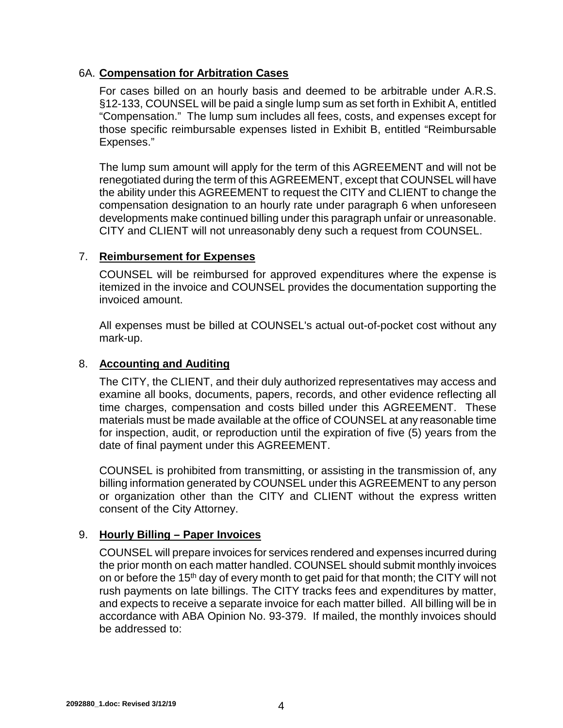## 6A. **Compensation for Arbitration Cases**

For cases billed on an hourly basis and deemed to be arbitrable under A.R.S. §12-133, COUNSEL will be paid a single lump sum as set forth in Exhibit A, entitled "Compensation." The lump sum includes all fees, costs, and expenses except for those specific reimbursable expenses listed in Exhibit B, entitled "Reimbursable Expenses."

The lump sum amount will apply for the term of this AGREEMENT and will not be renegotiated during the term of this AGREEMENT, except that COUNSEL will have the ability under this AGREEMENT to request the CITY and CLIENT to change the compensation designation to an hourly rate under paragraph 6 when unforeseen developments make continued billing under this paragraph unfair or unreasonable. CITY and CLIENT will not unreasonably deny such a request from COUNSEL.

## 7. **Reimbursement for Expenses**

COUNSEL will be reimbursed for approved expenditures where the expense is itemized in the invoice and COUNSEL provides the documentation supporting the invoiced amount.

All expenses must be billed at COUNSEL's actual out-of-pocket cost without any mark-up.

## 8. **Accounting and Auditing**

The CITY, the CLIENT, and their duly authorized representatives may access and examine all books, documents, papers, records, and other evidence reflecting all time charges, compensation and costs billed under this AGREEMENT. These materials must be made available at the office of COUNSEL at any reasonable time for inspection, audit, or reproduction until the expiration of five (5) years from the date of final payment under this AGREEMENT.

COUNSEL is prohibited from transmitting, or assisting in the transmission of, any billing information generated by COUNSEL under this AGREEMENT to any person or organization other than the CITY and CLIENT without the express written consent of the City Attorney.

# 9. **Hourly Billing – Paper Invoices**

COUNSEL will prepare invoices for services rendered and expenses incurred during the prior month on each matter handled. COUNSEL should submit monthly invoices on or before the 15<sup>th</sup> day of every month to get paid for that month; the CITY will not rush payments on late billings. The CITY tracks fees and expenditures by matter, and expects to receive a separate invoice for each matter billed. All billing will be in accordance with ABA Opinion No. 93-379. If mailed, the monthly invoices should be addressed to: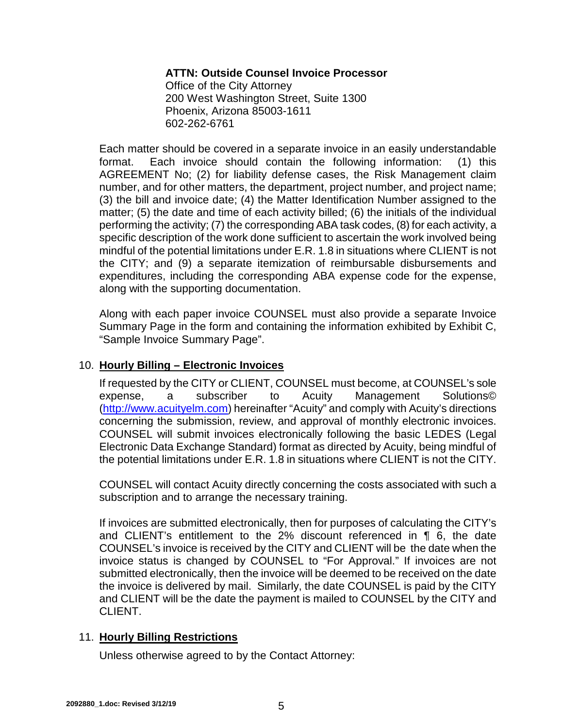### **ATTN: Outside Counsel Invoice Processor**

Office of the City Attorney 200 West Washington Street, Suite 1300 Phoenix, Arizona 85003-1611 602-262-6761

Each matter should be covered in a separate invoice in an easily understandable format. Each invoice should contain the following information: (1) this AGREEMENT No; (2) for liability defense cases, the Risk Management claim number, and for other matters, the department, project number, and project name; (3) the bill and invoice date; (4) the Matter Identification Number assigned to the matter; (5) the date and time of each activity billed; (6) the initials of the individual performing the activity; (7) the corresponding ABA task codes, (8) for each activity, a specific description of the work done sufficient to ascertain the work involved being mindful of the potential limitations under E.R. 1.8 in situations where CLIENT is not the CITY; and (9) a separate itemization of reimbursable disbursements and expenditures, including the corresponding ABA expense code for the expense, along with the supporting documentation.

Along with each paper invoice COUNSEL must also provide a separate Invoice Summary Page in the form and containing the information exhibited by Exhibit C, "Sample Invoice Summary Page".

#### 10. **Hourly Billing – Electronic Invoices**

If requested by the CITY or CLIENT, COUNSEL must become, at COUNSEL's sole expense, a subscriber to Acuity Management Solutions© (http://www.acuityelm.com) hereinafter "Acuity" and comply with Acuity's directions concerning the submission, review, and approval of monthly electronic invoices. COUNSEL will submit invoices electronically following the basic LEDES (Legal Electronic Data Exchange Standard) format as directed by Acuity, being mindful of the potential limitations under E.R. 1.8 in situations where CLIENT is not the CITY.

COUNSEL will contact Acuity directly concerning the costs associated with such a subscription and to arrange the necessary training.

If invoices are submitted electronically, then for purposes of calculating the CITY's and CLIENT's entitlement to the 2% discount referenced in ¶ 6, the date COUNSEL's invoice is received by the CITY and CLIENT will be the date when the invoice status is changed by COUNSEL to "For Approval." If invoices are not submitted electronically, then the invoice will be deemed to be received on the date the invoice is delivered by mail. Similarly, the date COUNSEL is paid by the CITY and CLIENT will be the date the payment is mailed to COUNSEL by the CITY and CLIENT.

#### 11. **Hourly Billing Restrictions**

Unless otherwise agreed to by the Contact Attorney: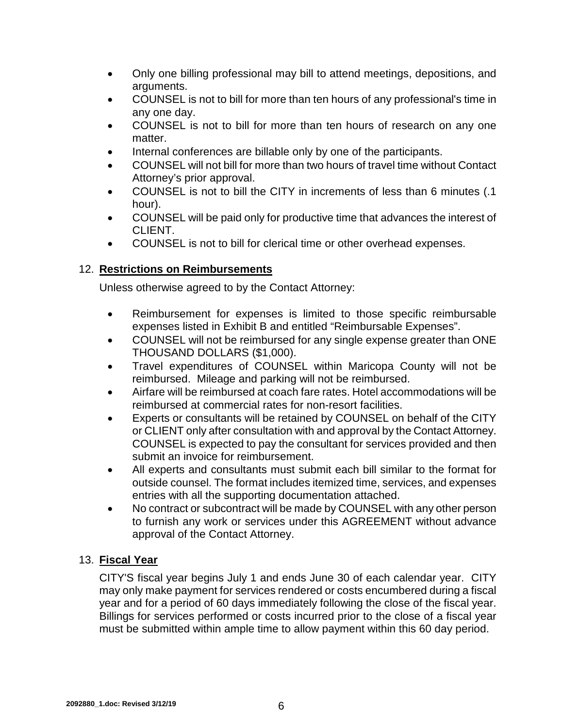- Only one billing professional may bill to attend meetings, depositions, and arguments.
- COUNSEL is not to bill for more than ten hours of any professional's time in any one day.
- COUNSEL is not to bill for more than ten hours of research on any one matter.
- Internal conferences are billable only by one of the participants.
- COUNSEL will not bill for more than two hours of travel time without Contact Attorney's prior approval.
- COUNSEL is not to bill the CITY in increments of less than 6 minutes (.1 hour).
- COUNSEL will be paid only for productive time that advances the interest of CLIENT.
- COUNSEL is not to bill for clerical time or other overhead expenses.

# 12. **Restrictions on Reimbursements**

Unless otherwise agreed to by the Contact Attorney:

- Reimbursement for expenses is limited to those specific reimbursable expenses listed in Exhibit B and entitled "Reimbursable Expenses".
- COUNSEL will not be reimbursed for any single expense greater than ONE THOUSAND DOLLARS (\$1,000).
- Travel expenditures of COUNSEL within Maricopa County will not be reimbursed. Mileage and parking will not be reimbursed.
- Airfare will be reimbursed at coach fare rates. Hotel accommodations will be reimbursed at commercial rates for non-resort facilities.
- Experts or consultants will be retained by COUNSEL on behalf of the CITY or CLIENT only after consultation with and approval by the Contact Attorney. COUNSEL is expected to pay the consultant for services provided and then submit an invoice for reimbursement.
- All experts and consultants must submit each bill similar to the format for outside counsel. The format includes itemized time, services, and expenses entries with all the supporting documentation attached.
- No contract or subcontract will be made by COUNSEL with any other person to furnish any work or services under this AGREEMENT without advance approval of the Contact Attorney.

# 13. **Fiscal Year**

CITY'S fiscal year begins July 1 and ends June 30 of each calendar year. CITY may only make payment for services rendered or costs encumbered during a fiscal year and for a period of 60 days immediately following the close of the fiscal year. Billings for services performed or costs incurred prior to the close of a fiscal year must be submitted within ample time to allow payment within this 60 day period.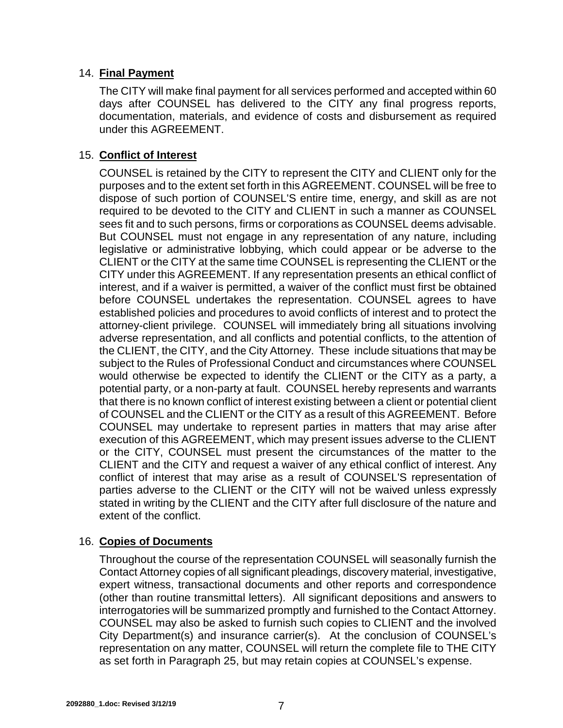## 14. **Final Payment**

The CITY will make final payment for all services performed and accepted within 60 days after COUNSEL has delivered to the CITY any final progress reports, documentation, materials, and evidence of costs and disbursement as required under this AGREEMENT.

## 15. **Conflict of Interest**

COUNSEL is retained by the CITY to represent the CITY and CLIENT only for the purposes and to the extent set forth in this AGREEMENT. COUNSEL will be free to dispose of such portion of COUNSEL'S entire time, energy, and skill as are not required to be devoted to the CITY and CLIENT in such a manner as COUNSEL sees fit and to such persons, firms or corporations as COUNSEL deems advisable. But COUNSEL must not engage in any representation of any nature, including legislative or administrative lobbying, which could appear or be adverse to the CLIENT or the CITY at the same time COUNSEL is representing the CLIENT or the CITY under this AGREEMENT. If any representation presents an ethical conflict of interest, and if a waiver is permitted, a waiver of the conflict must first be obtained before COUNSEL undertakes the representation. COUNSEL agrees to have established policies and procedures to avoid conflicts of interest and to protect the attorney-client privilege. COUNSEL will immediately bring all situations involving adverse representation, and all conflicts and potential conflicts, to the attention of the CLIENT, the CITY, and the City Attorney. These include situations that may be subject to the Rules of Professional Conduct and circumstances where COUNSEL would otherwise be expected to identify the CLIENT or the CITY as a party, a potential party, or a non-party at fault. COUNSEL hereby represents and warrants that there is no known conflict of interest existing between a client or potential client of COUNSEL and the CLIENT or the CITY as a result of this AGREEMENT. Before COUNSEL may undertake to represent parties in matters that may arise after execution of this AGREEMENT, which may present issues adverse to the CLIENT or the CITY, COUNSEL must present the circumstances of the matter to the CLIENT and the CITY and request a waiver of any ethical conflict of interest. Any conflict of interest that may arise as a result of COUNSEL'S representation of parties adverse to the CLIENT or the CITY will not be waived unless expressly stated in writing by the CLIENT and the CITY after full disclosure of the nature and extent of the conflict.

### 16. **Copies of Documents**

Throughout the course of the representation COUNSEL will seasonally furnish the Contact Attorney copies of all significant pleadings, discovery material, investigative, expert witness, transactional documents and other reports and correspondence (other than routine transmittal letters). All significant depositions and answers to interrogatories will be summarized promptly and furnished to the Contact Attorney. COUNSEL may also be asked to furnish such copies to CLIENT and the involved City Department(s) and insurance carrier(s). At the conclusion of COUNSEL's representation on any matter, COUNSEL will return the complete file to THE CITY as set forth in Paragraph 25, but may retain copies at COUNSEL's expense.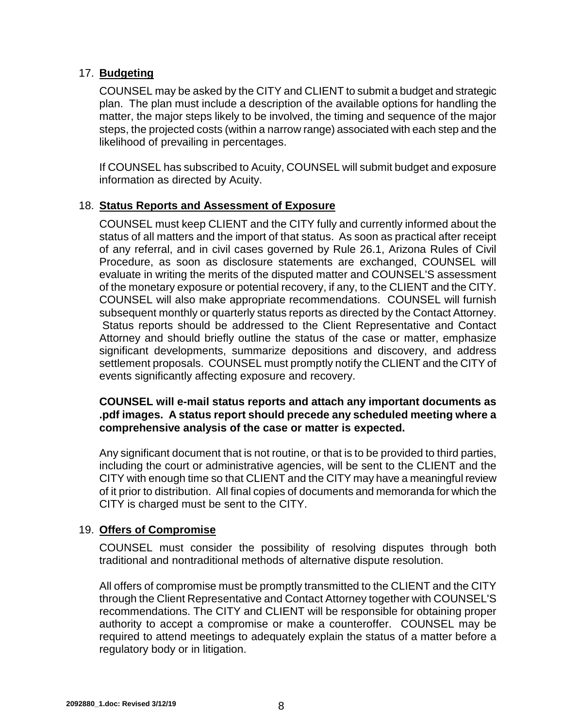## 17. **Budgeting**

COUNSEL may be asked by the CITY and CLIENT to submit a budget and strategic plan. The plan must include a description of the available options for handling the matter, the major steps likely to be involved, the timing and sequence of the major steps, the projected costs (within a narrow range) associated with each step and the likelihood of prevailing in percentages.

If COUNSEL has subscribed to Acuity, COUNSEL will submit budget and exposure information as directed by Acuity.

## 18. **Status Reports and Assessment of Exposure**

COUNSEL must keep CLIENT and the CITY fully and currently informed about the status of all matters and the import of that status. As soon as practical after receipt of any referral, and in civil cases governed by Rule 26.1, Arizona Rules of Civil Procedure, as soon as disclosure statements are exchanged, COUNSEL will evaluate in writing the merits of the disputed matter and COUNSEL'S assessment of the monetary exposure or potential recovery, if any, to the CLIENT and the CITY. COUNSEL will also make appropriate recommendations. COUNSEL will furnish subsequent monthly or quarterly status reports as directed by the Contact Attorney. Status reports should be addressed to the Client Representative and Contact Attorney and should briefly outline the status of the case or matter, emphasize significant developments, summarize depositions and discovery, and address settlement proposals. COUNSEL must promptly notify the CLIENT and the CITY of events significantly affecting exposure and recovery.

**COUNSEL will e-mail status reports and attach any important documents as .pdf images. A status report should precede any scheduled meeting where a comprehensive analysis of the case or matter is expected.**

Any significant document that is not routine, or that is to be provided to third parties, including the court or administrative agencies, will be sent to the CLIENT and the CITY with enough time so that CLIENT and the CITY may have a meaningful review of it prior to distribution. All final copies of documents and memoranda for which the CITY is charged must be sent to the CITY.

# 19. **Offers of Compromise**

COUNSEL must consider the possibility of resolving disputes through both traditional and nontraditional methods of alternative dispute resolution.

All offers of compromise must be promptly transmitted to the CLIENT and the CITY through the Client Representative and Contact Attorney together with COUNSEL'S recommendations. The CITY and CLIENT will be responsible for obtaining proper authority to accept a compromise or make a counteroffer. COUNSEL may be required to attend meetings to adequately explain the status of a matter before a regulatory body or in litigation.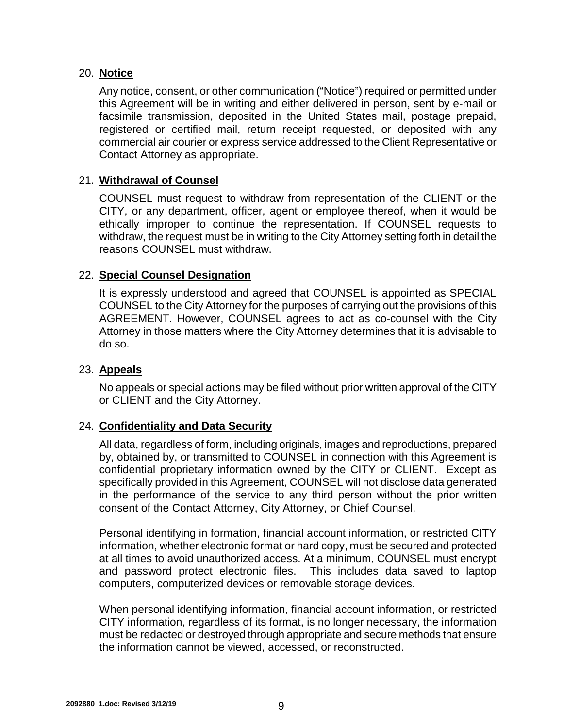### 20. **Notice**

Any notice, consent, or other communication ("Notice") required or permitted under this Agreement will be in writing and either delivered in person, sent by e-mail or facsimile transmission, deposited in the United States mail, postage prepaid, registered or certified mail, return receipt requested, or deposited with any commercial air courier or express service addressed to the Client Representative or Contact Attorney as appropriate.

#### 21. **Withdrawal of Counsel**

COUNSEL must request to withdraw from representation of the CLIENT or the CITY, or any department, officer, agent or employee thereof, when it would be ethically improper to continue the representation. If COUNSEL requests to withdraw, the request must be in writing to the City Attorney setting forth in detail the reasons COUNSEL must withdraw.

#### 22. **Special Counsel Designation**

It is expressly understood and agreed that COUNSEL is appointed as SPECIAL COUNSEL to the City Attorney for the purposes of carrying out the provisions of this AGREEMENT. However, COUNSEL agrees to act as co-counsel with the City Attorney in those matters where the City Attorney determines that it is advisable to do so.

#### 23. **Appeals**

No appeals or special actions may be filed without prior written approval of the CITY or CLIENT and the City Attorney.

### 24. **Confidentiality and Data Security**

All data, regardless of form, including originals, images and reproductions, prepared by, obtained by, or transmitted to COUNSEL in connection with this Agreement is confidential proprietary information owned by the CITY or CLIENT. Except as specifically provided in this Agreement, COUNSEL will not disclose data generated in the performance of the service to any third person without the prior written consent of the Contact Attorney, City Attorney, or Chief Counsel.

Personal identifying in formation, financial account information, or restricted CITY information, whether electronic format or hard copy, must be secured and protected at all times to avoid unauthorized access. At a minimum, COUNSEL must encrypt and password protect electronic files. This includes data saved to laptop computers, computerized devices or removable storage devices.

When personal identifying information, financial account information, or restricted CITY information, regardless of its format, is no longer necessary, the information must be redacted or destroyed through appropriate and secure methods that ensure the information cannot be viewed, accessed, or reconstructed.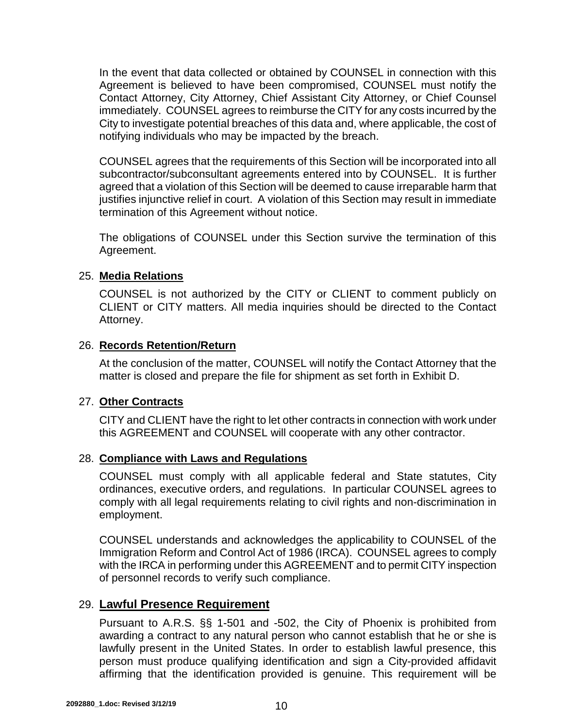In the event that data collected or obtained by COUNSEL in connection with this Agreement is believed to have been compromised, COUNSEL must notify the Contact Attorney, City Attorney, Chief Assistant City Attorney, or Chief Counsel immediately. COUNSEL agrees to reimburse the CITY for any costs incurred by the City to investigate potential breaches of this data and, where applicable, the cost of notifying individuals who may be impacted by the breach.

COUNSEL agrees that the requirements of this Section will be incorporated into all subcontractor/subconsultant agreements entered into by COUNSEL. It is further agreed that a violation of this Section will be deemed to cause irreparable harm that justifies injunctive relief in court. A violation of this Section may result in immediate termination of this Agreement without notice.

The obligations of COUNSEL under this Section survive the termination of this Agreement.

### 25. **Media Relations**

COUNSEL is not authorized by the CITY or CLIENT to comment publicly on CLIENT or CITY matters. All media inquiries should be directed to the Contact Attorney.

## 26. **Records Retention/Return**

At the conclusion of the matter, COUNSEL will notify the Contact Attorney that the matter is closed and prepare the file for shipment as set forth in Exhibit D.

# 27. **Other Contracts**

CITY and CLIENT have the right to let other contracts in connection with work under this AGREEMENT and COUNSEL will cooperate with any other contractor.

# 28. **Compliance with Laws and Regulations**

COUNSEL must comply with all applicable federal and State statutes, City ordinances, executive orders, and regulations. In particular COUNSEL agrees to comply with all legal requirements relating to civil rights and non-discrimination in employment.

COUNSEL understands and acknowledges the applicability to COUNSEL of the Immigration Reform and Control Act of 1986 (IRCA). COUNSEL agrees to comply with the IRCA in performing under this AGREEMENT and to permit CITY inspection of personnel records to verify such compliance.

# 29. **Lawful Presence Requirement**

Pursuant to A.R.S. §§ 1-501 and -502, the City of Phoenix is prohibited from awarding a contract to any natural person who cannot establish that he or she is lawfully present in the United States. In order to establish lawful presence, this person must produce qualifying identification and sign a City-provided affidavit affirming that the identification provided is genuine. This requirement will be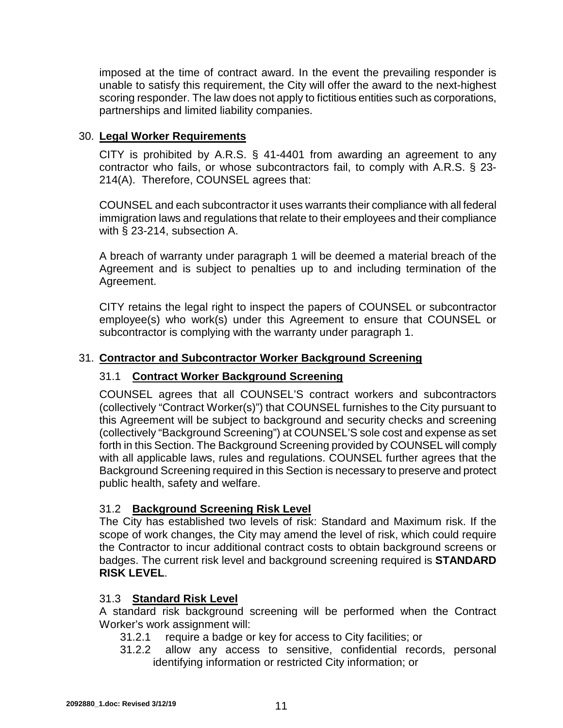imposed at the time of contract award. In the event the prevailing responder is unable to satisfy this requirement, the City will offer the award to the next-highest scoring responder. The law does not apply to fictitious entities such as corporations, partnerships and limited liability companies.

## 30. **Legal Worker Requirements**

CITY is prohibited by A.R.S. § 41-4401 from awarding an agreement to any contractor who fails, or whose subcontractors fail, to comply with A.R.S. § 23- 214(A). Therefore, COUNSEL agrees that:

COUNSEL and each subcontractor it uses warrants their compliance with all federal immigration laws and regulations that relate to their employees and their compliance with § 23-214, subsection A.

A breach of warranty under paragraph 1 will be deemed a material breach of the Agreement and is subject to penalties up to and including termination of the Agreement.

CITY retains the legal right to inspect the papers of COUNSEL or subcontractor employee(s) who work(s) under this Agreement to ensure that COUNSEL or subcontractor is complying with the warranty under paragraph 1.

### 31. **Contractor and Subcontractor Worker Background Screening**

### 31.1 **Contract Worker Background Screening**

COUNSEL agrees that all COUNSEL'S contract workers and subcontractors (collectively "Contract Worker(s)") that COUNSEL furnishes to the City pursuant to this Agreement will be subject to background and security checks and screening (collectively "Background Screening") at COUNSEL'S sole cost and expense as set forth in this Section. The Background Screening provided by COUNSEL will comply with all applicable laws, rules and regulations. COUNSEL further agrees that the Background Screening required in this Section is necessary to preserve and protect public health, safety and welfare.

### 31.2 **Background Screening Risk Level**

The City has established two levels of risk: Standard and Maximum risk. If the scope of work changes, the City may amend the level of risk, which could require the Contractor to incur additional contract costs to obtain background screens or badges. The current risk level and background screening required is **STANDARD RISK LEVEL**.

# 31.3 **Standard Risk Level**

A standard risk background screening will be performed when the Contract Worker's work assignment will:

- 31.2.1 require a badge or key for access to City facilities; or
- 31.2.2 allow any access to sensitive, confidential records, personal identifying information or restricted City information; or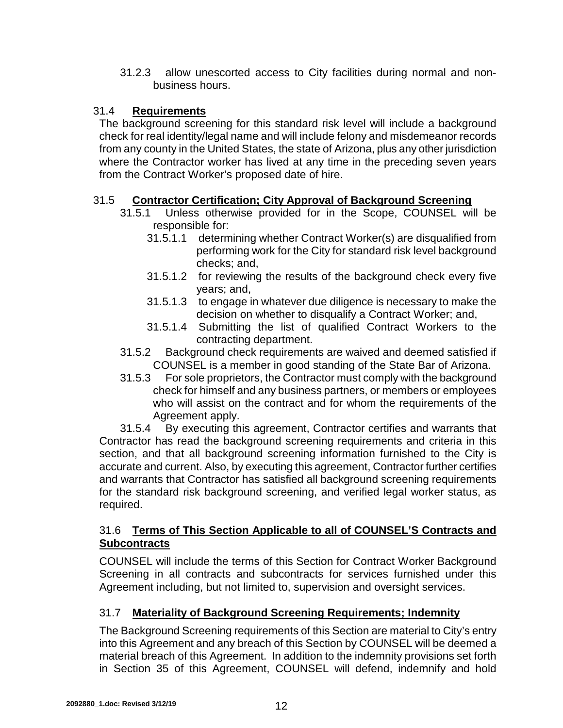31.2.3 allow unescorted access to City facilities during normal and nonbusiness hours.

### 31.4 **Requirements**

The background screening for this standard risk level will include a background check for real identity/legal name and will include felony and misdemeanor records from any county in the United States, the state of Arizona, plus any other jurisdiction where the Contractor worker has lived at any time in the preceding seven years from the Contract Worker's proposed date of hire.

## 31.5 **Contractor Certification; City Approval of Background Screening**

- 31.5.1 Unless otherwise provided for in the Scope, COUNSEL will be responsible for:
	- 31.5.1.1 determining whether Contract Worker(s) are disqualified from performing work for the City for standard risk level background checks; and,
	- 31.5.1.2 for reviewing the results of the background check every five years; and,
	- 31.5.1.3 to engage in whatever due diligence is necessary to make the decision on whether to disqualify a Contract Worker; and,
	- 31.5.1.4 Submitting the list of qualified Contract Workers to the contracting department.
- 31.5.2 Background check requirements are waived and deemed satisfied if COUNSEL is a member in good standing of the State Bar of Arizona.
- 31.5.3 For sole proprietors, the Contractor must comply with the background check for himself and any business partners, or members or employees who will assist on the contract and for whom the requirements of the Agreement apply.

31.5.4 By executing this agreement, Contractor certifies and warrants that Contractor has read the background screening requirements and criteria in this section, and that all background screening information furnished to the City is accurate and current. Also, by executing this agreement, Contractor further certifies and warrants that Contractor has satisfied all background screening requirements for the standard risk background screening, and verified legal worker status, as required.

## 31.6 **Terms of This Section Applicable to all of COUNSEL'S Contracts and Subcontracts**

COUNSEL will include the terms of this Section for Contract Worker Background Screening in all contracts and subcontracts for services furnished under this Agreement including, but not limited to, supervision and oversight services.

# 31.7 **Materiality of Background Screening Requirements; Indemnity**

The Background Screening requirements of this Section are material to City's entry into this Agreement and any breach of this Section by COUNSEL will be deemed a material breach of this Agreement. In addition to the indemnity provisions set forth in Section 35 of this Agreement, COUNSEL will defend, indemnify and hold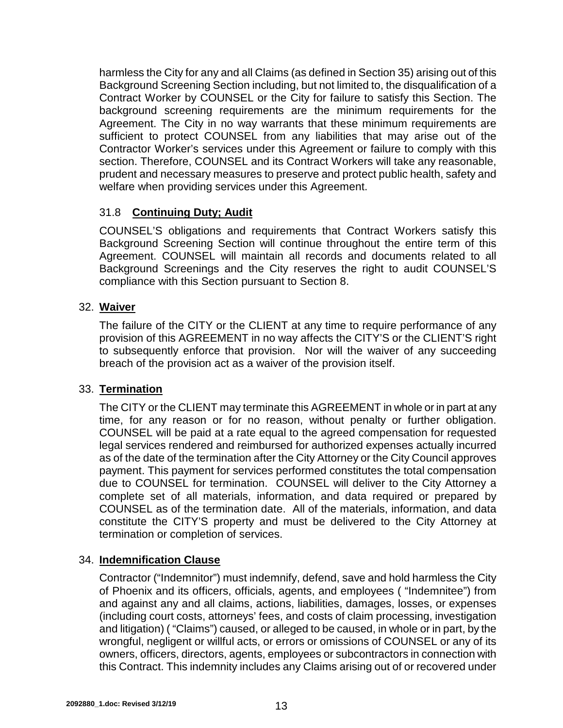harmless the City for any and all Claims (as defined in Section 35) arising out of this Background Screening Section including, but not limited to, the disqualification of a Contract Worker by COUNSEL or the City for failure to satisfy this Section. The background screening requirements are the minimum requirements for the Agreement. The City in no way warrants that these minimum requirements are sufficient to protect COUNSEL from any liabilities that may arise out of the Contractor Worker's services under this Agreement or failure to comply with this section. Therefore, COUNSEL and its Contract Workers will take any reasonable, prudent and necessary measures to preserve and protect public health, safety and welfare when providing services under this Agreement.

## 31.8 **Continuing Duty; Audit**

COUNSEL'S obligations and requirements that Contract Workers satisfy this Background Screening Section will continue throughout the entire term of this Agreement. COUNSEL will maintain all records and documents related to all Background Screenings and the City reserves the right to audit COUNSEL'S compliance with this Section pursuant to Section 8.

## 32. **Waiver**

The failure of the CITY or the CLIENT at any time to require performance of any provision of this AGREEMENT in no way affects the CITY'S or the CLIENT'S right to subsequently enforce that provision. Nor will the waiver of any succeeding breach of the provision act as a waiver of the provision itself.

### 33. **Termination**

The CITY or the CLIENT may terminate this AGREEMENT in whole or in part at any time, for any reason or for no reason, without penalty or further obligation. COUNSEL will be paid at a rate equal to the agreed compensation for requested legal services rendered and reimbursed for authorized expenses actually incurred as of the date of the termination after the City Attorney or the City Council approves payment. This payment for services performed constitutes the total compensation due to COUNSEL for termination. COUNSEL will deliver to the City Attorney a complete set of all materials, information, and data required or prepared by COUNSEL as of the termination date. All of the materials, information, and data constitute the CITY'S property and must be delivered to the City Attorney at termination or completion of services.

### 34. **Indemnification Clause**

Contractor ("Indemnitor") must indemnify, defend, save and hold harmless the City of Phoenix and its officers, officials, agents, and employees ( "Indemnitee") from and against any and all claims, actions, liabilities, damages, losses, or expenses (including court costs, attorneys' fees, and costs of claim processing, investigation and litigation) ( "Claims") caused, or alleged to be caused, in whole or in part, by the wrongful, negligent or willful acts, or errors or omissions of COUNSEL or any of its owners, officers, directors, agents, employees or subcontractors in connection with this Contract. This indemnity includes any Claims arising out of or recovered under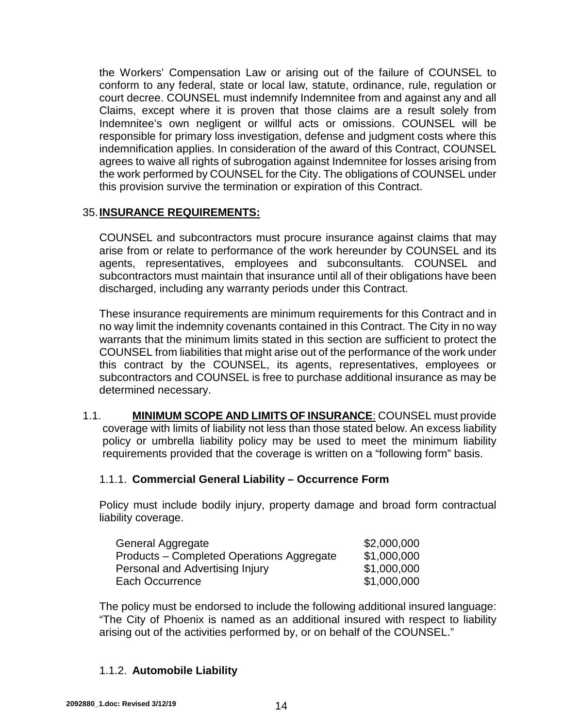the Workers' Compensation Law or arising out of the failure of COUNSEL to conform to any federal, state or local law, statute, ordinance, rule, regulation or court decree. COUNSEL must indemnify Indemnitee from and against any and all Claims, except where it is proven that those claims are a result solely from Indemnitee's own negligent or willful acts or omissions. COUNSEL will be responsible for primary loss investigation, defense and judgment costs where this indemnification applies. In consideration of the award of this Contract, COUNSEL agrees to waive all rights of subrogation against Indemnitee for losses arising from the work performed by COUNSEL for the City. The obligations of COUNSEL under this provision survive the termination or expiration of this Contract.

### 35.**INSURANCE REQUIREMENTS:**

COUNSEL and subcontractors must procure insurance against claims that may arise from or relate to performance of the work hereunder by COUNSEL and its agents, representatives, employees and subconsultants. COUNSEL and subcontractors must maintain that insurance until all of their obligations have been discharged, including any warranty periods under this Contract.

These insurance requirements are minimum requirements for this Contract and in no way limit the indemnity covenants contained in this Contract. The City in no way warrants that the minimum limits stated in this section are sufficient to protect the COUNSEL from liabilities that might arise out of the performance of the work under this contract by the COUNSEL, its agents, representatives, employees or subcontractors and COUNSEL is free to purchase additional insurance as may be determined necessary.

1.1. **MINIMUM SCOPE AND LIMITS OF INSURANCE**: COUNSEL must provide coverage with limits of liability not less than those stated below. An excess liability policy or umbrella liability policy may be used to meet the minimum liability requirements provided that the coverage is written on a "following form" basis.

# 1.1.1. **Commercial General Liability – Occurrence Form**

Policy must include bodily injury, property damage and broad form contractual liability coverage.

| General Aggregate                         | \$2,000,000 |
|-------------------------------------------|-------------|
| Products – Completed Operations Aggregate | \$1,000,000 |
| Personal and Advertising Injury           | \$1,000,000 |
| Each Occurrence                           | \$1,000,000 |

The policy must be endorsed to include the following additional insured language: "The City of Phoenix is named as an additional insured with respect to liability arising out of the activities performed by, or on behalf of the COUNSEL."

# 1.1.2. **Automobile Liability**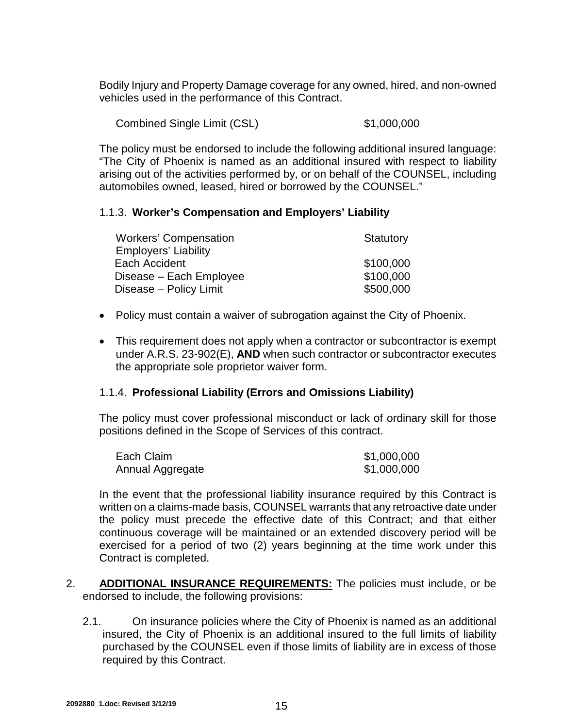Bodily Injury and Property Damage coverage for any owned, hired, and non-owned vehicles used in the performance of this Contract.

Combined Single Limit (CSL) \$1,000,000

The policy must be endorsed to include the following additional insured language: "The City of Phoenix is named as an additional insured with respect to liability arising out of the activities performed by, or on behalf of the COUNSEL, including automobiles owned, leased, hired or borrowed by the COUNSEL."

### 1.1.3. **Worker's Compensation and Employers' Liability**

| Statutory |
|-----------|
|           |
| \$100,000 |
| \$100,000 |
| \$500,000 |
|           |

- Policy must contain a waiver of subrogation against the City of Phoenix.
- This requirement does not apply when a contractor or subcontractor is exempt under A.R.S. 23-902(E), **AND** when such contractor or subcontractor executes the appropriate sole proprietor waiver form.

### 1.1.4. **Professional Liability (Errors and Omissions Liability)**

The policy must cover professional misconduct or lack of ordinary skill for those positions defined in the Scope of Services of this contract.

| Each Claim       | \$1,000,000 |
|------------------|-------------|
| Annual Aggregate | \$1,000,000 |

In the event that the professional liability insurance required by this Contract is written on a claims-made basis, COUNSEL warrants that any retroactive date under the policy must precede the effective date of this Contract; and that either continuous coverage will be maintained or an extended discovery period will be exercised for a period of two (2) years beginning at the time work under this Contract is completed.

- 2. **ADDITIONAL INSURANCE REQUIREMENTS:** The policies must include, or be endorsed to include, the following provisions:
	- 2.1. On insurance policies where the City of Phoenix is named as an additional insured, the City of Phoenix is an additional insured to the full limits of liability purchased by the COUNSEL even if those limits of liability are in excess of those required by this Contract.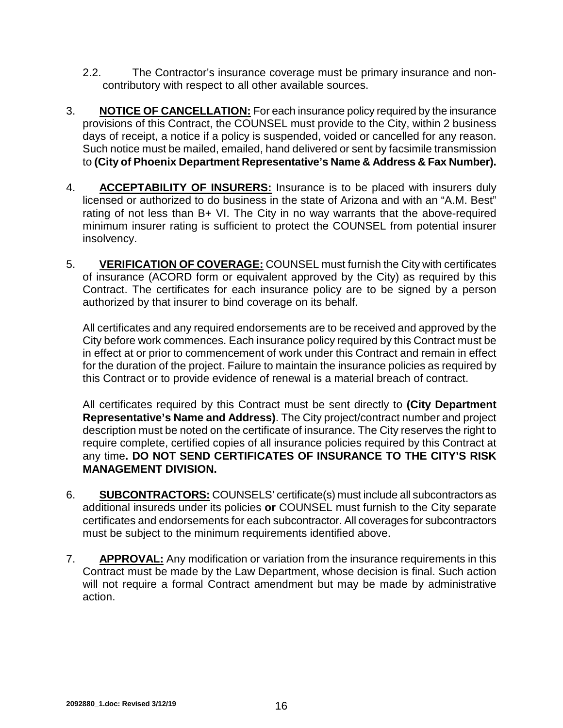- 2.2. The Contractor's insurance coverage must be primary insurance and noncontributory with respect to all other available sources.
- 3. **NOTICE OF CANCELLATION:** For each insurance policy required by the insurance provisions of this Contract, the COUNSEL must provide to the City, within 2 business days of receipt, a notice if a policy is suspended, voided or cancelled for any reason. Such notice must be mailed, emailed, hand delivered or sent by facsimile transmission to **(City of Phoenix Department Representative's Name & Address & Fax Number).**
- 4. **ACCEPTABILITY OF INSURERS:** Insurance is to be placed with insurers duly licensed or authorized to do business in the state of Arizona and with an "A.M. Best" rating of not less than B+ VI. The City in no way warrants that the above-required minimum insurer rating is sufficient to protect the COUNSEL from potential insurer insolvency.
- 5. **VERIFICATION OF COVERAGE:** COUNSEL must furnish the City with certificates of insurance (ACORD form or equivalent approved by the City) as required by this Contract. The certificates for each insurance policy are to be signed by a person authorized by that insurer to bind coverage on its behalf*.*

All certificates and any required endorsements are to be received and approved by the City before work commences. Each insurance policy required by this Contract must be in effect at or prior to commencement of work under this Contract and remain in effect for the duration of the project. Failure to maintain the insurance policies as required by this Contract or to provide evidence of renewal is a material breach of contract.

All certificates required by this Contract must be sent directly to **(City Department Representative's Name and Address)**. The City project/contract number and project description must be noted on the certificate of insurance. The City reserves the right to require complete, certified copies of all insurance policies required by this Contract at any time**. DO NOT SEND CERTIFICATES OF INSURANCE TO THE CITY'S RISK MANAGEMENT DIVISION.**

- 6. **SUBCONTRACTORS:** COUNSELS' certificate(s) must include all subcontractors as additional insureds under its policies **or** COUNSEL must furnish to the City separate certificates and endorsements for each subcontractor. All coverages for subcontractors must be subject to the minimum requirements identified above.
- 7. **APPROVAL:** Any modification or variation from the insurance requirements in this Contract must be made by the Law Department, whose decision is final. Such action will not require a formal Contract amendment but may be made by administrative action.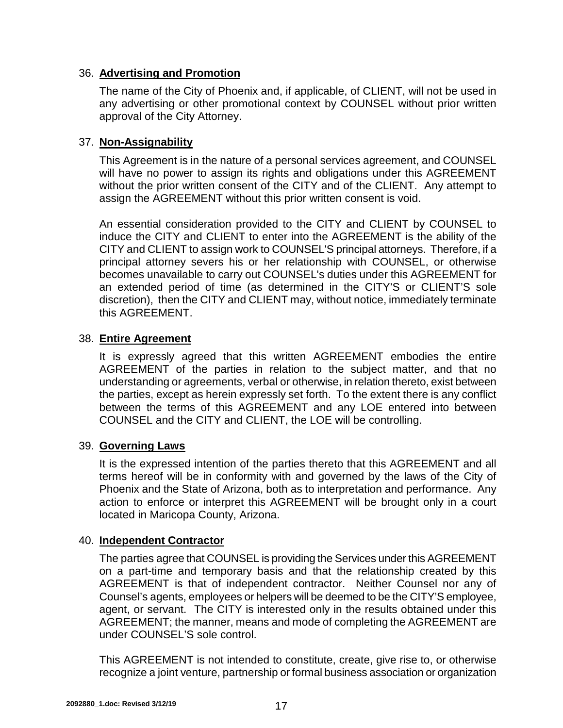### 36. **Advertising and Promotion**

The name of the City of Phoenix and, if applicable, of CLIENT, will not be used in any advertising or other promotional context by COUNSEL without prior written approval of the City Attorney.

## 37. **Non-Assignability**

This Agreement is in the nature of a personal services agreement, and COUNSEL will have no power to assign its rights and obligations under this AGREEMENT without the prior written consent of the CITY and of the CLIENT. Any attempt to assign the AGREEMENT without this prior written consent is void.

An essential consideration provided to the CITY and CLIENT by COUNSEL to induce the CITY and CLIENT to enter into the AGREEMENT is the ability of the CITY and CLIENT to assign work to COUNSEL'S principal attorneys. Therefore, if a principal attorney severs his or her relationship with COUNSEL, or otherwise becomes unavailable to carry out COUNSEL's duties under this AGREEMENT for an extended period of time (as determined in the CITY'S or CLIENT'S sole discretion), then the CITY and CLIENT may, without notice, immediately terminate this AGREEMENT.

## 38. **Entire Agreement**

It is expressly agreed that this written AGREEMENT embodies the entire AGREEMENT of the parties in relation to the subject matter, and that no understanding or agreements, verbal or otherwise, in relation thereto, exist between the parties, except as herein expressly set forth. To the extent there is any conflict between the terms of this AGREEMENT and any LOE entered into between COUNSEL and the CITY and CLIENT, the LOE will be controlling.

### 39. **Governing Laws**

It is the expressed intention of the parties thereto that this AGREEMENT and all terms hereof will be in conformity with and governed by the laws of the City of Phoenix and the State of Arizona, both as to interpretation and performance. Any action to enforce or interpret this AGREEMENT will be brought only in a court located in Maricopa County, Arizona.

### 40. **Independent Contractor**

The parties agree that COUNSEL is providing the Services under this AGREEMENT on a part-time and temporary basis and that the relationship created by this AGREEMENT is that of independent contractor. Neither Counsel nor any of Counsel's agents, employees or helpers will be deemed to be the CITY'S employee, agent, or servant. The CITY is interested only in the results obtained under this AGREEMENT; the manner, means and mode of completing the AGREEMENT are under COUNSEL'S sole control.

This AGREEMENT is not intended to constitute, create, give rise to, or otherwise recognize a joint venture, partnership or formal business association or organization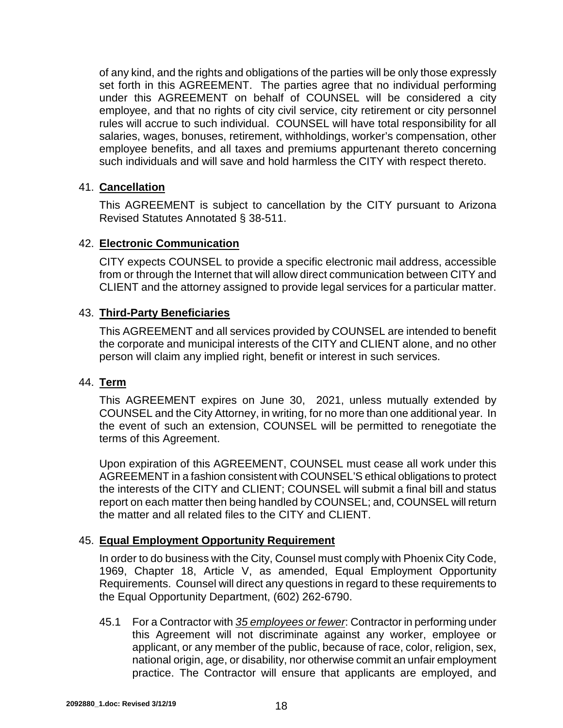of any kind, and the rights and obligations of the parties will be only those expressly set forth in this AGREEMENT. The parties agree that no individual performing under this AGREEMENT on behalf of COUNSEL will be considered a city employee, and that no rights of city civil service, city retirement or city personnel rules will accrue to such individual. COUNSEL will have total responsibility for all salaries, wages, bonuses, retirement, withholdings, worker's compensation, other employee benefits, and all taxes and premiums appurtenant thereto concerning such individuals and will save and hold harmless the CITY with respect thereto.

### 41. **Cancellation**

This AGREEMENT is subject to cancellation by the CITY pursuant to Arizona Revised Statutes Annotated § 38-511.

### 42. **Electronic Communication**

CITY expects COUNSEL to provide a specific electronic mail address, accessible from or through the Internet that will allow direct communication between CITY and CLIENT and the attorney assigned to provide legal services for a particular matter.

## 43. **Third-Party Beneficiaries**

This AGREEMENT and all services provided by COUNSEL are intended to benefit the corporate and municipal interests of the CITY and CLIENT alone, and no other person will claim any implied right, benefit or interest in such services.

### 44. **Term**

This AGREEMENT expires on June 30, 2021, unless mutually extended by COUNSEL and the City Attorney, in writing, for no more than one additional year. In the event of such an extension, COUNSEL will be permitted to renegotiate the terms of this Agreement.

Upon expiration of this AGREEMENT, COUNSEL must cease all work under this AGREEMENT in a fashion consistent with COUNSEL'S ethical obligations to protect the interests of the CITY and CLIENT; COUNSEL will submit a final bill and status report on each matter then being handled by COUNSEL; and, COUNSEL will return the matter and all related files to the CITY and CLIENT.

### 45. **Equal Employment Opportunity Requirement**

In order to do business with the City, Counsel must comply with Phoenix City Code, 1969, Chapter 18, Article V, as amended, Equal Employment Opportunity Requirements. Counsel will direct any questions in regard to these requirements to the Equal Opportunity Department, (602) 262-6790.

45.1 For a Contractor with *35 employees or fewer*: Contractor in performing under this Agreement will not discriminate against any worker, employee or applicant, or any member of the public, because of race, color, religion, sex, national origin, age, or disability, nor otherwise commit an unfair employment practice. The Contractor will ensure that applicants are employed, and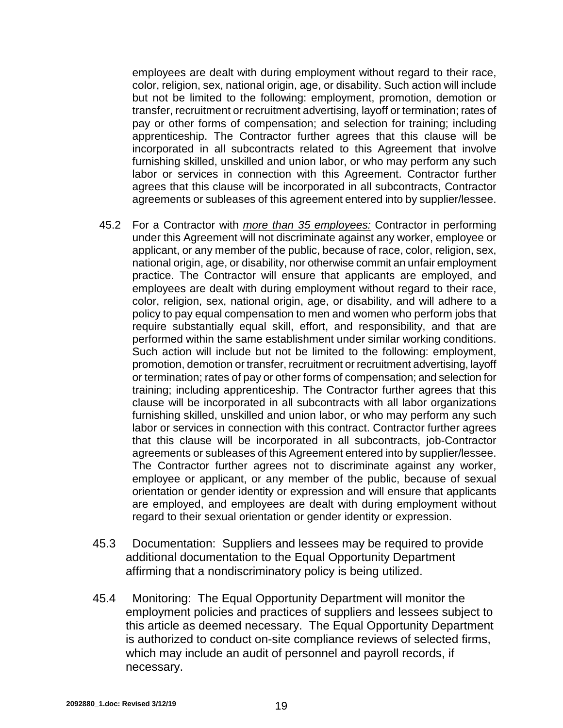employees are dealt with during employment without regard to their race, color, religion, sex, national origin, age, or disability. Such action will include but not be limited to the following: employment, promotion, demotion or transfer, recruitment or recruitment advertising, layoff or termination; rates of pay or other forms of compensation; and selection for training; including apprenticeship. The Contractor further agrees that this clause will be incorporated in all subcontracts related to this Agreement that involve furnishing skilled, unskilled and union labor, or who may perform any such labor or services in connection with this Agreement. Contractor further agrees that this clause will be incorporated in all subcontracts, Contractor agreements or subleases of this agreement entered into by supplier/lessee.

- 45.2 For a Contractor with *more than 35 employees:* Contractor in performing under this Agreement will not discriminate against any worker, employee or applicant, or any member of the public, because of race, color, religion, sex, national origin, age, or disability, nor otherwise commit an unfair employment practice. The Contractor will ensure that applicants are employed, and employees are dealt with during employment without regard to their race, color, religion, sex, national origin, age, or disability, and will adhere to a policy to pay equal compensation to men and women who perform jobs that require substantially equal skill, effort, and responsibility, and that are performed within the same establishment under similar working conditions. Such action will include but not be limited to the following: employment, promotion, demotion or transfer, recruitment or recruitment advertising, layoff or termination; rates of pay or other forms of compensation; and selection for training; including apprenticeship. The Contractor further agrees that this clause will be incorporated in all subcontracts with all labor organizations furnishing skilled, unskilled and union labor, or who may perform any such labor or services in connection with this contract. Contractor further agrees that this clause will be incorporated in all subcontracts, job-Contractor agreements or subleases of this Agreement entered into by supplier/lessee. The Contractor further agrees not to discriminate against any worker, employee or applicant, or any member of the public, because of sexual orientation or gender identity or expression and will ensure that applicants are employed, and employees are dealt with during employment without regard to their sexual orientation or gender identity or expression.
- 45.3 Documentation: Suppliers and lessees may be required to provide additional documentation to the Equal Opportunity Department affirming that a nondiscriminatory policy is being utilized.
- 45.4 Monitoring: The Equal Opportunity Department will monitor the employment policies and practices of suppliers and lessees subject to this article as deemed necessary. The Equal Opportunity Department is authorized to conduct on-site compliance reviews of selected firms, which may include an audit of personnel and payroll records, if necessary.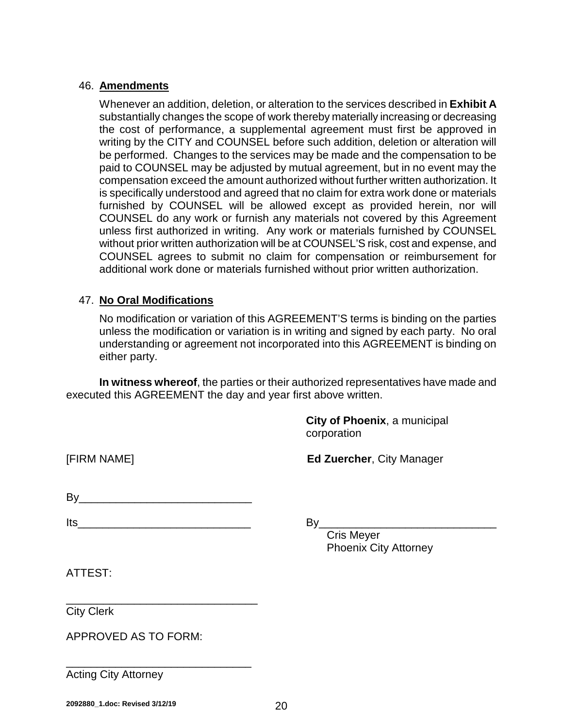#### 46. **Amendments**

Whenever an addition, deletion, or alteration to the services described in **Exhibit A** substantially changes the scope of work thereby materially increasing or decreasing the cost of performance, a supplemental agreement must first be approved in writing by the CITY and COUNSEL before such addition, deletion or alteration will be performed. Changes to the services may be made and the compensation to be paid to COUNSEL may be adjusted by mutual agreement, but in no event may the compensation exceed the amount authorized without further written authorization. It is specifically understood and agreed that no claim for extra work done or materials furnished by COUNSEL will be allowed except as provided herein, nor will COUNSEL do any work or furnish any materials not covered by this Agreement unless first authorized in writing. Any work or materials furnished by COUNSEL without prior written authorization will be at COUNSEL'S risk, cost and expense, and COUNSEL agrees to submit no claim for compensation or reimbursement for additional work done or materials furnished without prior written authorization.

### 47. **No Oral Modifications**

No modification or variation of this AGREEMENT'S terms is binding on the parties unless the modification or variation is in writing and signed by each party. No oral understanding or agreement not incorporated into this AGREEMENT is binding on either party.

**In witness whereof**, the parties or their authorized representatives have made and executed this AGREEMENT the day and year first above written.

> **City of Phoenix**, a municipal corporation

[FIRM NAME] **Ed Zuercher**, City Manager

By\_\_\_\_\_\_\_\_\_\_\_\_\_\_\_\_\_\_\_\_\_\_\_\_\_\_\_\_

Its  $By$ 

\_\_\_\_\_\_\_\_\_\_\_\_\_\_\_\_\_\_\_\_\_\_\_\_\_\_\_\_\_\_\_

\_\_\_\_\_\_\_\_\_\_\_\_\_\_\_\_\_\_\_\_\_\_\_\_\_\_\_\_\_\_

Cris Meyer Phoenix City Attorney

ATTEST:

City Clerk

APPROVED AS TO FORM:

Acting City Attorney

**2092880\_1.doc: Revised 3/12/19** 20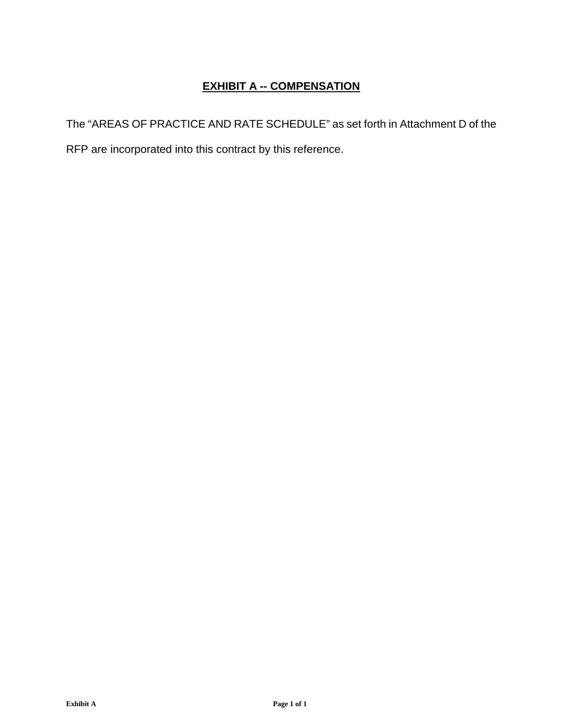# **EXHIBIT A -- COMPENSATION**

The "AREAS OF PRACTICE AND RATE SCHEDULE" as set forth in Attachment D of the RFP are incorporated into this contract by this reference.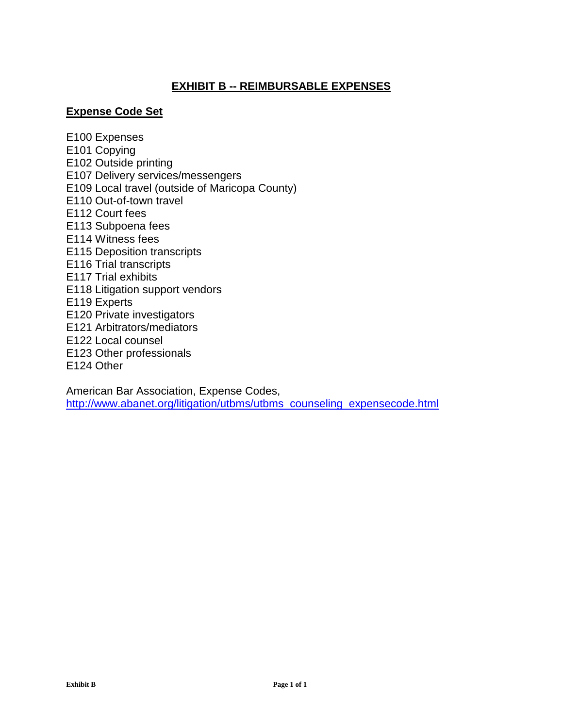# **EXHIBIT B -- REIMBURSABLE EXPENSES**

### **Expense Code Set**

E100 Expenses E101 Copying E102 Outside printing E107 Delivery services/messengers E109 Local travel (outside of Maricopa County) E110 Out-of-town travel E112 Court fees E113 Subpoena fees E114 Witness fees E115 Deposition transcripts E116 Trial transcripts E117 Trial exhibits E118 Litigation support vendors E119 Experts E120 Private investigators E121 Arbitrators/mediators E122 Local counsel E123 Other professionals E124 Other

American Bar Association, Expense Codes, http://www.abanet.org/litigation/utbms/utbms\_counseling\_expensecode.html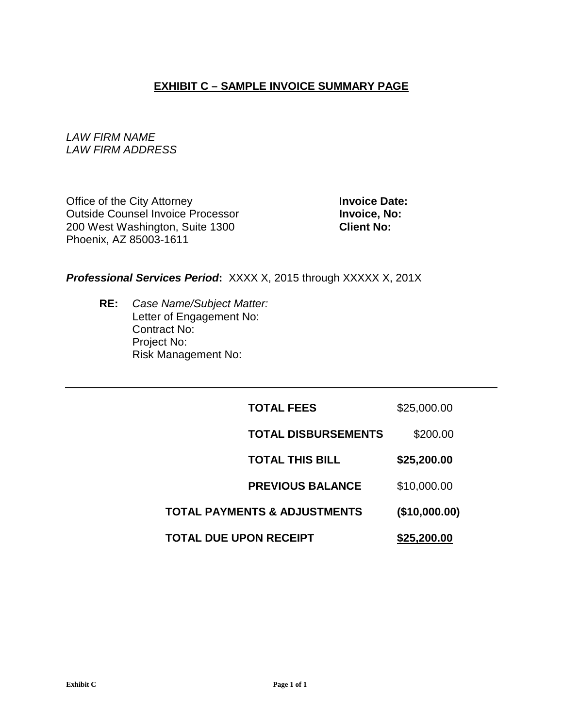# **EXHIBIT C – SAMPLE INVOICE SUMMARY PAGE**

*LAW FIRM NAME LAW FIRM ADDRESS*

Office of the City Attorney<br> **Outside Counsel Invoice Processor**<br> **Invoice, No: Outside Counsel Invoice Processor** 200 West Washington, Suite 1300 **Client No:** Phoenix, AZ 85003-1611

#### *Professional Services Period***:** XXXX X, 2015 through XXXXX X, 201X

**RE:** *Case Name/Subject Matter:* Letter of Engagement No: Contract No: Project No: Risk Management No:

| TOTAL DUE UPON RECEIPT       | \$25,200.00   |
|------------------------------|---------------|
| TOTAL PAYMENTS & ADJUSTMENTS | (\$10,000.00) |
| <b>PREVIOUS BALANCE</b>      | \$10,000.00   |
| <b>TOTAL THIS BILL</b>       | \$25,200.00   |
| <b>TOTAL DISBURSEMENTS</b>   | \$200.00      |
| <b>TOTAL FEES</b>            | \$25,000.00   |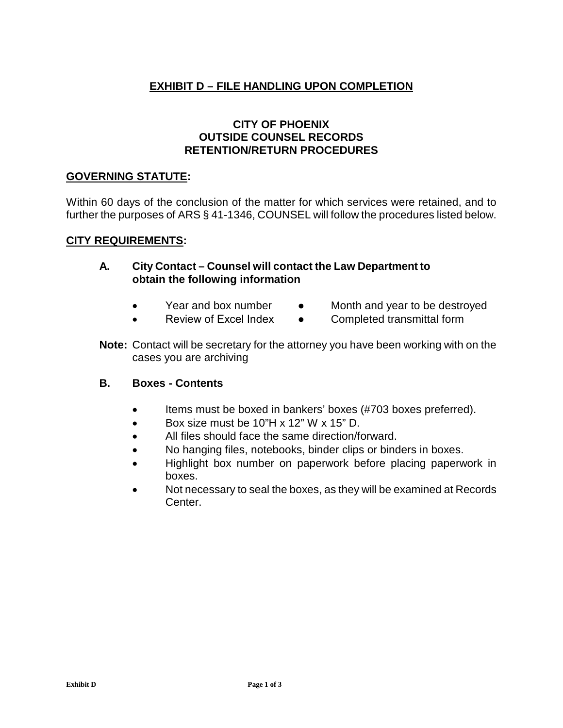# **EXHIBIT D – FILE HANDLING UPON COMPLETION**

### **CITY OF PHOENIX OUTSIDE COUNSEL RECORDS RETENTION/RETURN PROCEDURES**

#### **GOVERNING STATUTE:**

Within 60 days of the conclusion of the matter for which services were retained, and to further the purposes of ARS § 41-1346, COUNSEL will follow the procedures listed below.

#### **CITY REQUIREMENTS:**

#### **A. City Contact – Counsel will contact the Law Department to obtain the following information**

- Year and box number Month and year to be destroyed
	-
- 
- Review of Excel Index Completed transmittal form
- **Note:** Contact will be secretary for the attorney you have been working with on the cases you are archiving

#### **B. Boxes - Contents**

- Items must be boxed in bankers' boxes (#703 boxes preferred).
- Box size must be 10"H x 12" W x 15" D.
- All files should face the same direction/forward.
- No hanging files, notebooks, binder clips or binders in boxes.
- Highlight box number on paperwork before placing paperwork in boxes.
- Not necessary to seal the boxes, as they will be examined at Records Center.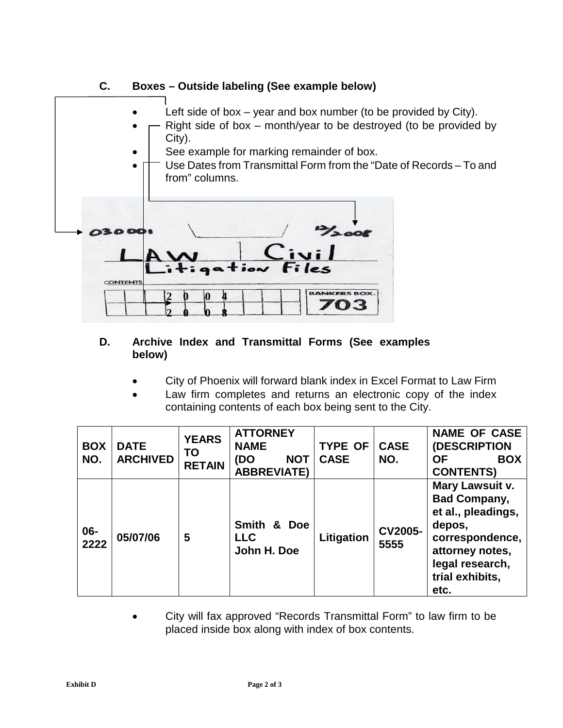

# **D. Archive Index and Transmittal Forms (See examples below)**

- City of Phoenix will forward blank index in Excel Format to Law Firm
- Law firm completes and returns an electronic copy of the index containing contents of each box being sent to the City.

| <b>BOX</b><br>NO. | <b>DATE</b><br><b>ARCHIVED</b> | <b>YEARS</b><br>TO<br><b>RETAIN</b> | <b>ATTORNEY</b><br><b>NAME</b><br>(DO<br><b>NOT</b><br><b>ABBREVIATE)</b> | <b>TYPE OF</b><br><b>CASE</b> | <b>CASE</b><br>NO.     | <b>NAME OF CASE</b><br>(DESCRIPTION<br><b>OF</b><br><b>BOX</b><br><b>CONTENTS)</b>                                                                         |
|-------------------|--------------------------------|-------------------------------------|---------------------------------------------------------------------------|-------------------------------|------------------------|------------------------------------------------------------------------------------------------------------------------------------------------------------|
| $06 -$<br>2222    | 05/07/06                       | 5                                   | Smith & Doe<br><b>LLC</b><br>John H. Doe                                  | Litigation                    | <b>CV2005-</b><br>5555 | Mary Lawsuit v.<br><b>Bad Company,</b><br>et al., pleadings,<br>depos,<br>correspondence,<br>attorney notes,<br>legal research,<br>trial exhibits,<br>etc. |

 City will fax approved "Records Transmittal Form" to law firm to be placed inside box along with index of box contents.